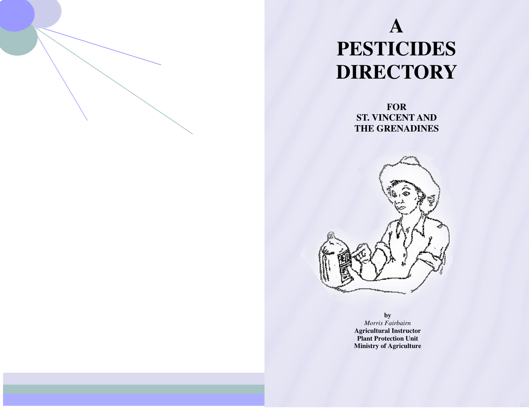# **A PESTICIDES DIRECTORY**

**FOR ST. VINCENT AND THE GRENADINES**



**by**  *Morris Fairbairn* **Agricultural Instructor Plant Protection Unit Ministry of Agriculture**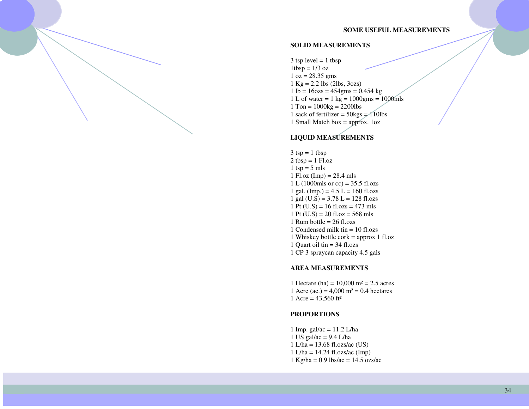#### **SOME USEFUL MEASUREMENTS**

#### **SOLID MEASUREMENTS**

 $3$  tsp level = 1 tbsp  $1tbsp = 1/3$  oz  $1 oz = 28.35 gms$  $1 \text{ Kg} = 2.2 \text{ lbs} (2 \text{ lbs}, 3 \text{ oz})$  $1 lb = 16ozs = 454gms = 0.454 kg$ 1 L of water =  $1 \text{ kg} = 1000 \text{gms} = 1000 \text{mls}$  $1$  Ton =  $1000kg = 2200lbs$ 1 sack of fertilizer =  $50\text{kgs} = 110\text{lbs}$ 1 Small Match box = approx. 1oz

#### **LIQUID MEASUREMENTS**

 $3$  tsp = 1 tbsp  $2 \t{tbsp} = 1 \t{Fl.oz}$  $1$  tsp = 5 mls 1 Fl.oz (Imp) =  $28.4$  mls 1 L (1000mls or cc) =  $35.5$  fl.ozs 1 gal. (Imp.) =  $4.5$  L = 160 fl.ozs 1 gal  $(U.S) = 3.78$  L = 128 fl.ozs 1 Pt  $(U.S) = 16$  fl.ozs = 473 mls 1 Pt  $(U.S) = 20$  fl.oz = 568 mls 1 Rum bottle =  $26$  fl.ozs 1 Condensed milk tin = 10 fl.ozs 1 Whiskey bottle cork = approx 1 fl.oz 1 Quart oil tin = 34 fl.ozs 1 CP 3 spraycan capacity 4.5 gals

#### **AREA MEASUREMENTS**

1 Hectare (ha) =  $10,000$  m<sup>2</sup> =  $2.5$  acres 1 Acre (ac.) =  $4,000 \text{ m}^2 = 0.4 \text{ hectares}$ 1 Acre =  $43,560$  ft<sup>2</sup>

#### **PROPORTIONS**

1 Imp. gal/ac = 11.2 L/ha 1 US gal/ac  $= 9.4$  L/ha  $1$  L/ha = 13.68 fl.ozs/ac (US)  $1 L/ha = 14.24$  fl.ozs/ac (Imp)  $1 \text{ Kg/ha} = 0.9 \text{ lbs/ac} = 14.5 \text{ ozs/ac}$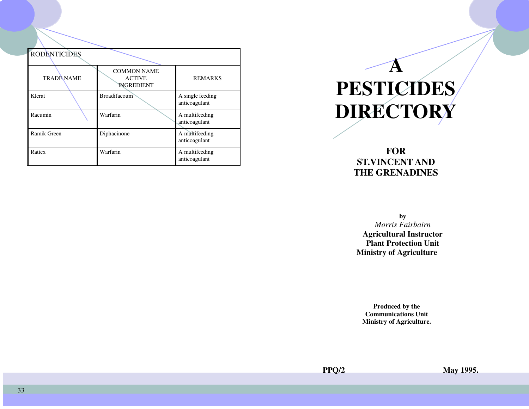| <b>RODENTICIDES</b> |                                                          |                                   |
|---------------------|----------------------------------------------------------|-----------------------------------|
| <b>TRADE NAME</b>   | <b>COMMON NAME</b><br><b>ACTIVE</b><br><b>INGREDIENT</b> | <b>REMARKS</b>                    |
| Klerat              | <b>Broadifacoum</b>                                      | A single feeding<br>anticoagulant |
| Racumin             | Warfarin                                                 | A multifeeding<br>anticoagulant   |
| Ramik Green         | Diphacinone                                              | A multifeeding<br>anticoagulant   |
| Rattex              | Warfarin                                                 | A multifeeding<br>anticoagulant   |

# **A PESTICIDES DIRECTORY**

### **FOR ST.VINCENT AND THE GRENADINES**

**by** 

 *Morris Fairbairn* **Agricultural Instructor Plant Protection Unit Ministry of Agriculture**

**Produced by the Communications Unit Ministry of Agriculture.**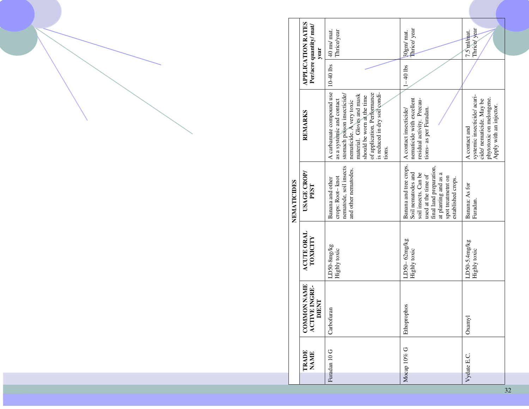|             | <b>APPLICATION RATES</b><br>Per/acre quantity/ mat/<br>year | 40 ms/ mat.<br>Thrice/year                                                                                                                                                                                                                            | Thrice/year<br>30gm/ mat.                                                                                                                                                                  | Thrice/year<br>7.5 ml/mat.                                                                                                      |
|-------------|-------------------------------------------------------------|-------------------------------------------------------------------------------------------------------------------------------------------------------------------------------------------------------------------------------------------------------|--------------------------------------------------------------------------------------------------------------------------------------------------------------------------------------------|---------------------------------------------------------------------------------------------------------------------------------|
|             |                                                             | $10-40$ lbs                                                                                                                                                                                                                                           | $1 - 40$ lbs                                                                                                                                                                               |                                                                                                                                 |
|             | REMARKS                                                     | A carbamate compound use<br>is reduced in dry soil condi-<br>of application. Performance<br>stomach poison insecticide/<br>material. Gloves and mask<br>should be worn at the time<br>as a systemic and contact<br>nematicide. A very toxic<br>tions. | nematicide with excellent<br>residual activity. Precau-<br>tions- as per Furadan.<br>A contact insecticide/                                                                                | systemic insecticide/acari-<br>phytotoxic on melongene.<br>cide/ nematicide. May be<br>Apply with an injector.<br>A contact and |
| NEMATICIDES | USAGE CROP/<br><b>PEST</b>                                  | nematode, soil insects<br>and other nematodes.<br>crops: Root-knot<br>Banana and other                                                                                                                                                                | Banana and tree crops.<br>final land preparation,<br>at planting and as a<br>Soil nematodes and<br>soil insects. Can be<br>used at the time of<br>spot treatmetnt on<br>established crops. | Banana: As for<br>Furadan.                                                                                                      |
|             | <b>ACUTE ORAL</b><br>TOXICITY                               | LD50-8mg/kg<br>Highly toxic                                                                                                                                                                                                                           | $LD50-62mg/kg$<br>Highly toxic                                                                                                                                                             | LD50-5.4mg/kg<br>Highly toxic                                                                                                   |
|             | <b>COMMON NAME</b><br><b>ACTIVE INGRE-</b><br>DIENT         | Carbofuran                                                                                                                                                                                                                                            | Ethoprophos                                                                                                                                                                                | $Ox$ anyl                                                                                                                       |
|             | TRADE<br><b>NAME</b>                                        | Furadan 10 G                                                                                                                                                                                                                                          | Mocap 10% G                                                                                                                                                                                | Vydate E.C.                                                                                                                     |

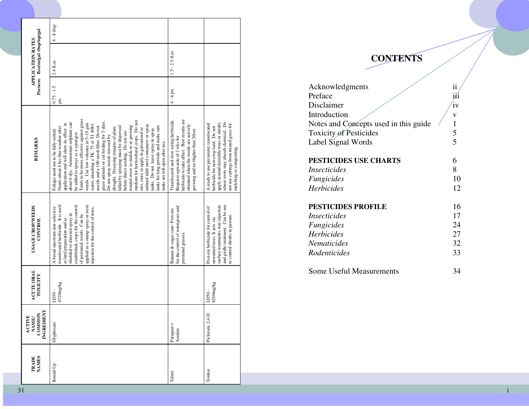|                                                            | $4 - 8$ tbsp                                                                                                                                                                                                                                                                                                                                                                                                                                                                                                                                                                                                                                                                                                                                                                                                                                                 |                                                                                                                                                                                                     |                                                                                                                                                                                                                                       |
|------------------------------------------------------------|--------------------------------------------------------------------------------------------------------------------------------------------------------------------------------------------------------------------------------------------------------------------------------------------------------------------------------------------------------------------------------------------------------------------------------------------------------------------------------------------------------------------------------------------------------------------------------------------------------------------------------------------------------------------------------------------------------------------------------------------------------------------------------------------------------------------------------------------------------------|-----------------------------------------------------------------------------------------------------------------------------------------------------------------------------------------------------|---------------------------------------------------------------------------------------------------------------------------------------------------------------------------------------------------------------------------------------|
| Per/acre fl.oz/oz/gal tbsp/tsp/gal<br>APPLICATION RATES    | 2.4 fl.oz                                                                                                                                                                                                                                                                                                                                                                                                                                                                                                                                                                                                                                                                                                                                                                                                                                                    | $1.5 - 2.5$ fl.oz                                                                                                                                                                                   |                                                                                                                                                                                                                                       |
|                                                            | $0.75 - 1.5$<br>pts                                                                                                                                                                                                                                                                                                                                                                                                                                                                                                                                                                                                                                                                                                                                                                                                                                          | $4 - 6$ pts                                                                                                                                                                                         |                                                                                                                                                                                                                                       |
| REMARKS                                                    | Tends to be more effective against grass<br>medium for horticultural crops. Do not<br>graze animals or cut feeding for 5 days.<br>about 6 dys. Ammonium sulphate can<br>weeds. Use low volumes in 5-10 gals<br>application and will show its effect in<br>water, attaching a TK .75 or TJ .8001<br>unlined mild steel containers or spray<br>treated straw as mulch or as growing<br>tanks for long periods and make sure<br>nozzle and a 100 mesh filter. Do not<br>Needs about 4 hrs fine weather after<br>killed by spraying must be dispersed<br>mix, store or apply in galvanized or<br>drought. Decaying remains of plant<br>tanks. Do not leave spray in spray<br>Foliage need not to be fully wetted.<br>before direct seeding. Do not use<br>be added to sprays as a synergist.<br>Do not spray weeds stressed by<br>tanks are left open after use. | herbicide to take effect. Best results are<br>Translocated and slow acting herbicide.<br>obtained when the weeds are actively<br>growing and no thigher than 20cm.<br>Requires upwards of 2 wks for | where roots may absorb chemical. Do<br>apply around desirable trees or shrubs<br>not use cuttings from treated grass for<br>A ready to use persistent, translocated<br>herbicide for non-crop land. Do not<br>mulching or composting. |
| USAGE CROP/WEEDS<br>CONTROL                                | translocated herbicide. It is used<br>applied as a stump spray or stem<br>established, crops for the control<br>A broad spectrum non-selective<br>injection for the control of trees.<br>shielded or directed spray in<br>of perennial weeds. Can be<br>at land preparation and as                                                                                                                                                                                                                                                                                                                                                                                                                                                                                                                                                                           | for the control of watergrass and<br>Banana & sugar cane: Post-em<br>perennial grasses.                                                                                                             | and girdle treatment. Can be use<br>surface treatments, tree injection<br>Post-em herbicide for control of<br>to control shrubs in pasture.<br>unwanted trees. It acts via                                                            |
| <b>ACUTE ORAL</b><br>TOXICITY                              | 4320mg/kg<br>LD50-                                                                                                                                                                                                                                                                                                                                                                                                                                                                                                                                                                                                                                                                                                                                                                                                                                           |                                                                                                                                                                                                     | 3200mg/kg<br>LD50-                                                                                                                                                                                                                    |
| <b>NGREDIENT</b><br>COMMON<br><b>ACTIVE</b><br><b>NAME</b> | Glyphosate                                                                                                                                                                                                                                                                                                                                                                                                                                                                                                                                                                                                                                                                                                                                                                                                                                                   | Paraquat +<br>Asulam                                                                                                                                                                                | Picloram, 2,4-D                                                                                                                                                                                                                       |
| <b>NAMES</b><br>TRADE                                      | Round-Up                                                                                                                                                                                                                                                                                                                                                                                                                                                                                                                                                                                                                                                                                                                                                                                                                                                     | Talent                                                                                                                                                                                              | Tordon                                                                                                                                                                                                                                |

## **CONTENTS**

| Acknowledgments                       | ii            |
|---------------------------------------|---------------|
| Preface                               | i⁄i           |
| Disclaimer                            | $i\mathbf{v}$ |
| Introduction                          | V             |
| Notes and Concepts used in this guide | $\mathbf{1}$  |
| <b>Toxicity of Pesticides</b>         | 5             |
| Label Signal Words                    | 5             |
| <b>PESTICIDES USE CHARTS</b>          | 6             |
| Insecticides                          | 8             |
| Fungicides                            | 10            |
| <b>Herbicides</b>                     | 12            |
| <b>PESTICIDES PROFILE</b>             | 16            |
| Insecticides                          | 17            |
| Fungicides                            | 24            |
| <b>Herbicides</b>                     | 27            |
| Nematicides                           | 32            |
| Rodenticides                          | 33            |
| <b>Some Useful Measurements</b>       | 34            |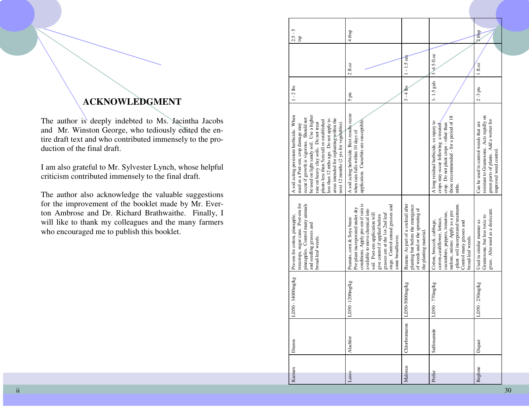### **ACKNOWLEDGMENT**

The author is deeply indebted to Ms. Jacintha Jacobs and Mr. Winston George, who tediously edited the entire draft text and who contributed immensely to the production of the final draft.

I am also grateful to Mr. Sylvester Lynch, whose helpful criticism contributed immensely to the final draft.

The author also acknowledge the valuable suggestions for the improvement of the booklet made by Mr. Everton Ambrose and Dr. Richard Brathwaithe. Finally, I will like to thank my colleagues and the many farmers who encouraged me to publish this booklet.

| 5<br>$2.5 - 3$<br>tsp                                                                                                                                                                                                                                                                                                                                                                       | $4 \text{ tbg}$                                                                                                                                                                                                                                                                                           |                                                                                                                                        |                                                                                                                                                                                                                         | $2$ tbsp                                                                                                                                              |
|---------------------------------------------------------------------------------------------------------------------------------------------------------------------------------------------------------------------------------------------------------------------------------------------------------------------------------------------------------------------------------------------|-----------------------------------------------------------------------------------------------------------------------------------------------------------------------------------------------------------------------------------------------------------------------------------------------------------|----------------------------------------------------------------------------------------------------------------------------------------|-------------------------------------------------------------------------------------------------------------------------------------------------------------------------------------------------------------------------|-------------------------------------------------------------------------------------------------------------------------------------------------------|
|                                                                                                                                                                                                                                                                                                                                                                                             | 2f.oz                                                                                                                                                                                                                                                                                                     | $1 - 1.5$ oz <sub>s</sub>                                                                                                              | 34.5f1.0z                                                                                                                                                                                                               | 1f.oz                                                                                                                                                 |
| $1 - 2$ lbs                                                                                                                                                                                                                                                                                                                                                                                 | 5 pts                                                                                                                                                                                                                                                                                                     | $3 - 4$ hs                                                                                                                             | $1 - 1.5$ gals                                                                                                                                                                                                          | $2-3$ pts                                                                                                                                             |
| be used on light sandy soil. Use a higher<br>A soil acting persistent herbicide. When<br>occur if growth is vigorous. Should not<br>areas intended for replanting within the<br>less than 12 mths ago. Do not apply to<br>plants less than 5cm tall or established<br>next 12 months (2 yrs for vegetables)<br>rate on heavy clay soils. Do not treat<br>used as a Post-em, crop damage may | A soil acting herbicide. Best results occur<br>application. Cucurbits are susceptible,<br>when rain falls within 10 days of                                                                                                                                                                               |                                                                                                                                        | those recommended - for a period of 18<br>A long residual herbicide, so injury to<br>crop. Do not plant crops - other than<br>crops may occur following a treated<br>mths.                                              | resistant to Gramoxone. Acts rapidly on<br>green parts of plants. Add a wetter for<br>Can be used to control weeds that are<br>improved weed control. |
| treecrops, sugar cane. Post-em for<br>pineapples. Control many annuals<br>Pre-em for cotton, pineapple,<br>and seedling grasses and<br>broad-leaf weeds.                                                                                                                                                                                                                                    | conditions. Apply pre-em if rain is<br>stage. Control annual grasses and<br>Pre-plant incorporated under dry<br>available to move chemical into<br>grasses are at the 1st-2nd leaf<br>soil. Post-em application will<br>give control if applied before<br>Peanuts, corn & Soya bean:<br>some broadleaves. | Banana: As part of a cocktail after<br>planting but before the emergence<br>of weeds and or the sprouting of<br>the planting material. | -plant soil incorporated treatment.<br>melons, onions: Apply as a pre<br>cucumbers, peppers, tomatoes,<br>carrots, cauliflower, lettuce,<br>Cotton, broccoli, cabbage,<br>Control many grasses and<br>broad-leaf weeds. | grass. Also used as a desiccant.<br>Gramoxone, but less toxic to<br>Used in similar manner as                                                         |
| D50 - 34000mg/kg                                                                                                                                                                                                                                                                                                                                                                            | D50-1200mg/kg                                                                                                                                                                                                                                                                                             | D50-5000mg/kg                                                                                                                          | D50 - 770mg/kg                                                                                                                                                                                                          | D50 - 230mg/kg                                                                                                                                        |
| Diuron                                                                                                                                                                                                                                                                                                                                                                                      | Alachlor                                                                                                                                                                                                                                                                                                  | Chlorbromuron                                                                                                                          | Sulfonamide                                                                                                                                                                                                             | Diquat                                                                                                                                                |
| Karnex                                                                                                                                                                                                                                                                                                                                                                                      | Lasso                                                                                                                                                                                                                                                                                                     | Maloran                                                                                                                                | Prefar                                                                                                                                                                                                                  | Reglone                                                                                                                                               |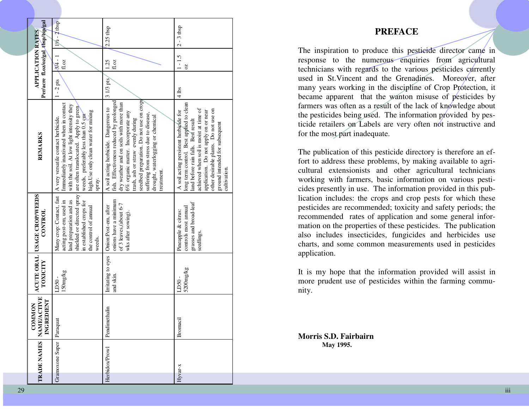| Per/acre fl.oz/oz/gal_tbsp/tsp/gal                                  | $1\frac{1}{2} - 2$ tbsp                                                                                                                                                                                                                                         | $2.25$ tbsp                                                                                                                                                                                                                                                                                                                                     | $2 - 3$ tbsp                                                                                                                                                                                                                                                                                           |
|---------------------------------------------------------------------|-----------------------------------------------------------------------------------------------------------------------------------------------------------------------------------------------------------------------------------------------------------------|-------------------------------------------------------------------------------------------------------------------------------------------------------------------------------------------------------------------------------------------------------------------------------------------------------------------------------------------------|--------------------------------------------------------------------------------------------------------------------------------------------------------------------------------------------------------------------------------------------------------------------------------------------------------|
| <b>APPLICATION RATES</b>                                            | $3/4 - 1$<br>1.0z                                                                                                                                                                                                                                               | fl.oz<br>1.25                                                                                                                                                                                                                                                                                                                                   | $1 - 1.5$<br>20                                                                                                                                                                                                                                                                                        |
|                                                                     | $1 - 2$ pts                                                                                                                                                                                                                                                     | 3 1/3 pts                                                                                                                                                                                                                                                                                                                                       | $4$ lbs                                                                                                                                                                                                                                                                                                |
| REMARKS                                                             | Immediately inactivated when in contact<br>with the soil. At low light intensity they<br>are often translocated. Apply to green<br>high. Use only clean water for mixing<br>weeds, preferably less than 0.5 cm<br>A very versatile contact herbicide.<br>spray. | seedbed preparation. Do not use on crops<br>fish. Effectiveness reduced by prolonged<br>dry weather and on soils with more than<br>A soil acting herbicide. Dangerous to<br>6% organic matter. Incorporate any<br>suffering from stress due to disease,<br>drought, waterlogging or chemical<br>trash, ash or straw evenly during<br>treatment. | long term control. Best applied to clean<br>achieved when soil is moist at time of<br>other desirable plants. Do not use on<br>A soil acting persistent herbicide for<br>application. Do not apply on or near<br>land before rain falls. Best result<br>ground intended for subsequent<br>cultivation. |
| ACUTE ORAL USAGE CROP/WEEDS<br>CONTROL                              | shielded or directed spray<br>Many crop: Contact, fast<br>acting post-em, used in<br>land preparation and as<br>in established crops for<br>the control of amual<br>weeds.                                                                                      | onions have a minimum<br>of 3 leaves, (about 6-7<br>Irritating to eyes Onion:Post-em, after<br>wks after sowing).                                                                                                                                                                                                                               | grasses and broad-leaf<br>controls most annual<br>Pineapple & citrus:<br>seedlings.                                                                                                                                                                                                                    |
| TOXICITY                                                            | 150mg/kg<br>LD50-                                                                                                                                                                                                                                               | and skin.                                                                                                                                                                                                                                                                                                                                       | 5200mg/kg<br>LD50-                                                                                                                                                                                                                                                                                     |
| TRADE NAMES   NAME/ACTIVE<br>INGREDIENT<br><b>MON</b><br><b>NO2</b> | Paraquat                                                                                                                                                                                                                                                        | Pendimethalin                                                                                                                                                                                                                                                                                                                                   | Bromacil                                                                                                                                                                                                                                                                                               |
|                                                                     | Gramoxone Super                                                                                                                                                                                                                                                 | Herbidox/Prowl                                                                                                                                                                                                                                                                                                                                  | $HYar-x$                                                                                                                                                                                                                                                                                               |

#### **PREFACE**

The inspiration to produce this pesticide director came in response to the numerous enquiries from agricultural technicians with regards to the various pesticides currently used in St.Vincent and the Grenadines. Moreover, after many years working in the discipline of Crop Protection, it became apparent that the wanton misuse of pesticides by farmers was often as a result of the lack of knowledge about the pesticides being used. The information provided by pesticide retailers on Labels are very often not instructive and for the most part inadequate.

The publication of this pesticide directory is therefore an effort to address these problems, by making available to agricultural extensionists and other agricultural technicians working with farmers, basic information on various pesticides presently in use. The information provided in this publication includes: the crops and crop pests for which these pesticides are recommended; toxicity and safety periods; the recommended rates of application and some general information on the properties of these pesticides. The publication also includes insecticides, fungicides and herbicides use charts, and some common measurements used in pesticides application.

It is my hope that the information provided will assist in more prudent use of pesticides within the farming community.

**Morris S.D. Fairbairn May 1995.**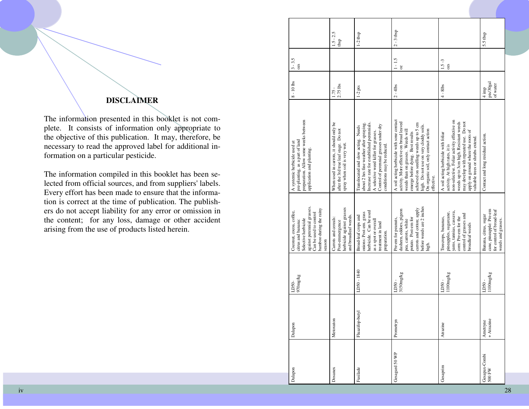### **DISCLAIMER**

The information presented in this booklet is not complete. It consists of information only appropriate to the objective of this publication. It may, therefore, be necessary to read the approved label for additional information on a particular pesticide.

The information compiled in this booklet has been selected from official sources, and from suppliers' labels. Every effort has been made to ensure that the information is correct at the time of publication. The publishers do not accept liability for any error or omission in the content; for any loss, damage or other accident arising from the use of products listed herein.

| Dalapon                 | Dalapon                | 970mg/kg<br>LD50-  | against perennial grasses.<br>bamboo during the rainy<br>Coconut, cocoa, coffee,<br>Can be used to control<br>Selective herbicide<br>citrus and banana:<br>season | preparation. Allow some weeks between<br>pre-planting, as a part of land<br>A systemic herbicide used at<br>application and planting.                                                                                                                                                                    | $8 - 10$ lbs                             | $3 - 3.5$<br>$0\overline{z}S$ |                     |
|-------------------------|------------------------|--------------------|-------------------------------------------------------------------------------------------------------------------------------------------------------------------|----------------------------------------------------------------------------------------------------------------------------------------------------------------------------------------------------------------------------------------------------------------------------------------------------------|------------------------------------------|-------------------------------|---------------------|
| Dosanex                 | Metoxuton              |                    | herbicide against grasses<br>and broadleaf weeds.<br>Carrots and cereals:<br>Post-emmergence                                                                      | When used in carrots, it should only be<br>after the 3rd true leaf stage. Do not<br>spray when soil is very wet.                                                                                                                                                                                         | 2.75 lbs<br>$1.75 -$                     |                               | $1.5 - 2.5$<br>tbsp |
| Fusilade                | Fluazifop-butyl        | LD50 - 1840        | herbicide. Can be used<br>onions: Post-em. grass<br>Broad-leaf crops and<br>as a spot or overall<br>treatment in land<br>preparation.                             | Increase rate for established perennials.<br>about 2 hrs fine weather after spraying.<br>Control of perennial grasses under dry<br>Translocated and slow acting. Needs<br>A selective weed killer for grasses.<br>conditions may be reduced.                                                             | $1-2$ pts                                |                               | $1-2$ tbsp          |
| Gesagard 50 WP          | Prometryn              | 3150mg/kg<br>LD50- | before weeds are 2 inches<br>carrots and cotton; apply<br>dasheen, eddoes, pigeon<br>potato. Post-em for<br>Pre-em for peanuts,<br>pea, carrots, white<br>high.   | A soil acting herbicide with sone contact<br>activity. More effective on broad leaved<br>achieved on seedling weeds up to 5 cm<br>high. Do not use on very cloddy soils.<br>On organic soil, only contact action<br>weeds than on grasses. Weeds will<br>emerge before dying. Best results<br>effective. | $2 - 4$ lbs                              | $1 - 1.5$<br>$\delta$         | $2 - 3$ tbsp        |
| Gesaprim                | Atrazine               | 100mg/kg<br>LD50-  | yams, tannias, cassava,<br>pineapples, sugarcane,<br>control of grasses and<br>corn: Pre-em for the<br>Treecrops, bananas,<br>broadleaf weeds                     | non-selective. Foliar activity effective on<br>weeds up to 3cm high. Resistant weeds<br>may develop with repeated use. Do not<br>apply on ground where the roots of<br>A soil acting herbicide with foliar<br>valuable trees or shrubs extend.<br>activity. At high rates, it is                         | $4 - 8$ lbs                              | $1.5 - 3$<br>02S              |                     |
| Gesapax-Combi<br>500 FW | + Atrazine<br>Ametryne | 100mg/kg<br>LD50-  | for control of broad-leaf<br>cane, pineapple: Pre-em<br>Banana, citrus, sugar<br>weeds and grasses.                                                               | Contact and long residual action.                                                                                                                                                                                                                                                                        | pts/30gal<br>of water<br>$4 \text{ imp}$ |                               | 5.5 tbsp            |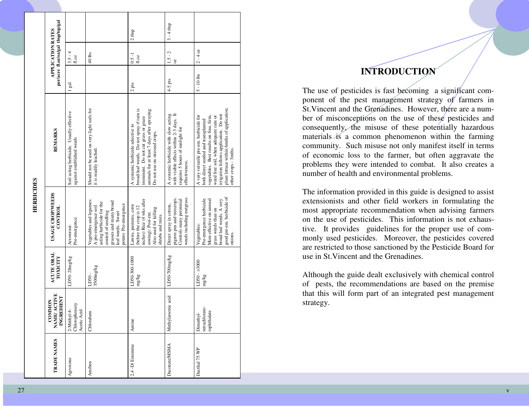|                                                         |                                                                       |                                                                                                                                                                            | 2 <sub>tbsp</sub>                                                                                                                                                                                     | $3 - 4$ tbsp                                                                                                                            |                                                                                                                                                                                                                                                                                  |
|---------------------------------------------------------|-----------------------------------------------------------------------|----------------------------------------------------------------------------------------------------------------------------------------------------------------------------|-------------------------------------------------------------------------------------------------------------------------------------------------------------------------------------------------------|-----------------------------------------------------------------------------------------------------------------------------------------|----------------------------------------------------------------------------------------------------------------------------------------------------------------------------------------------------------------------------------------------------------------------------------|
| per/acre fl.oz/oz/gal tbsp/tsp/gal<br>APPLICATION RATES | $3.5 - 4$<br>fl.oz                                                    | 40 lbs                                                                                                                                                                     | $0.5 - 1$<br>fl.oz                                                                                                                                                                                    | $1.5 - 2$<br>$\overline{\mathrm{c}}$                                                                                                    | $2 - 40z$                                                                                                                                                                                                                                                                        |
|                                                         | l gal                                                                 |                                                                                                                                                                            | $12$ pts                                                                                                                                                                                              | $4-5$ pts                                                                                                                               | $5 - 10$ lbs                                                                                                                                                                                                                                                                     |
| REMARKS                                                 | Soil acting herbicide. Usually effective<br>against established weeds | Should not be used on very light soils for<br>it is readily leached.                                                                                                       | broad-leaf weeds. Do not spray if rain is<br>animals for at least 7 days after spraying.<br>imminent. Do not cut grass or graze<br>A systemic herbicide selective to<br>Do not use on stressed crops. | with visible effects within 2-3 days. It<br>A systemic herbicide with slow acting<br>requires 5 hours of sunlight for<br>effectiveness. | plant lettuce within 6mths of application;<br>irrigation follows application. Do not<br>A very versatile pre-em. herbicide for<br>vegetables. Best results on fine, firm,<br>weed free soil, when adequate rain or<br>both direct seeded and transplanted<br>xher crops - 3mths. |
| <b>USAGE CROP/WEEDS</b><br>CONTROL                      | Pre-emergence<br>Arrowroot:                                           | Vegetables and legumes:<br>grasses and many broad<br>acting herbicide for the<br>potato: Pre-emergence<br>A pre-emergence soil<br>control of seedling<br>leaf weeds. Sweet | inches) Rice (4 wks after<br>Lawns, pastures, corn<br>(before the crop is 12<br>Also used for killing<br>sowing): Post-em.<br>shrubs and trees.                                                       | weeds including nutgrass.<br>pigeon pea and treecrops.<br>Controls many perennial<br>Direct spray in cotton,                            | good pre-em. herbicide of<br>Pre-emergence herbicide.<br>More effective on annual<br>broad leaf weeds. A very<br>grass weeds than on<br>Vegetables:<br>onions.                                                                                                                   |
| <b>ACUTE ORAL</b><br>TOXICITY                           | LD50-28mg/kg                                                          | 3500mg/kg<br>LD50-                                                                                                                                                         | LD50-300-1000<br>mg/kg                                                                                                                                                                                | LD50-700mg/kg                                                                                                                           | $LD50 - 3000$<br>mg/kg                                                                                                                                                                                                                                                           |
| NAME/ACTIVE<br>INGREDIENT<br><b>COMMON</b>              | Chlorophenaxy<br>2-Methyl-4-<br>Acetic Acid                           | Chlorabem                                                                                                                                                                  | Amine                                                                                                                                                                                                 | Methylarsonic acid                                                                                                                      | tetrachlorate-<br>Dimethyl-<br>rephthalate                                                                                                                                                                                                                                       |
| TRADE NAMES                                             | Agroxone                                                              | Amiben                                                                                                                                                                     | 2,4-D/Estemine                                                                                                                                                                                        | <b>Daconate/MSMA</b>                                                                                                                    | Dacthal 75 WP                                                                                                                                                                                                                                                                    |

#### **INTRODUCTION**

The use of pesticides is fast becoming a significant component of the pest management strategy of farmers in St.Vincent and the Grenadines. However, there are a number of misconceptions on the use of these pesticides and consequently, the misuse of these potentially hazardous materials is a common phenomenon within the farming community. Such misuse not only manifest itself in terms of economic loss to the farmer, but often aggravate the problems they were intended to combat. It also creates a number of health and environmental problems.

The information provided in this guide is designed to assist extensionists and other field workers in formulating the most appropriate recommendation when advising farmers on the use of pesticides. This information is not exhaustive. It provides guidelines for the proper use of commonly used pesticides. Moreover, the pesticides covered are restricted to those sanctioned by the Pesticide Board for use in St.Vincent and the Grenadines.

Although the guide dealt exclusively with chemical control of pests, the recommendations are based on the premise that this will form part of an integrated pest management strategy.

**HERBICIDES**

**HERBICIDES**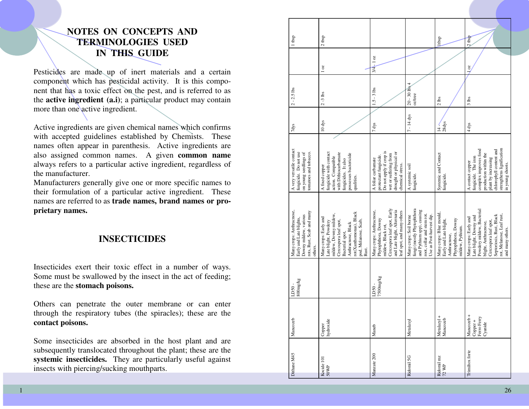### **NOTES ON CONCEPTS AND TERMINOLOGIES USED IN THIS GUIDE**

Pesticides are made up of inert materials and a certain component which has pesticidal activity. It is this component that has a toxic effect on the pest, and is referred to as the **active ingredient (a.i)**; a particular product may contain more than one active ingredient.

Active ingredients are given chemical names which confirms with accepted guidelines established by Chemists. These names often appear in parenthesis. Active ingredients are also assigned common names. A given **common name** always refers to a particular active ingredient, regardless of the manufacturer.

 Manufacturers generally give one or more specific names to their formulation of a particular active ingredient. These names are referred to as **trade names, brand names or proprietary names.**

#### **INSECTICIDES**

Insecticides exert their toxic effect in a number of ways. Some must be swallowed by the insect in the act of feeding; these are the **stomach poisons.** 

Others can penetrate the outer membrane or can enter through the respiratory tubes (the spiracles); these are the **contact poisons.**

Some insecticides are absorbed in the host plant and are subsequently translocated throughout the plant; these are the **systemic insecticides.** They are particularly useful against insects with piercing/sucking mouthparts.

| 1 tbsp                                                                                                               | $2$ tbsp                                                                                                                                                                                             |                                                                                                                                                                  |                                                                                                                                             | ltbsp                                                                                                        | $2$ tbsp                                                                                                                                                                                                   |
|----------------------------------------------------------------------------------------------------------------------|------------------------------------------------------------------------------------------------------------------------------------------------------------------------------------------------------|------------------------------------------------------------------------------------------------------------------------------------------------------------------|---------------------------------------------------------------------------------------------------------------------------------------------|--------------------------------------------------------------------------------------------------------------|------------------------------------------------------------------------------------------------------------------------------------------------------------------------------------------------------------|
|                                                                                                                      | 10z                                                                                                                                                                                                  | $3/4$ -1 $oz$                                                                                                                                                    |                                                                                                                                             |                                                                                                              | $\overline{0}$                                                                                                                                                                                             |
| $2 - 2.5$ lbs                                                                                                        | $2 - 3$ lbs                                                                                                                                                                                          | $1.5 - 3$ lbs                                                                                                                                                    | $20 - 30$ lbs 4<br>oz/tree                                                                                                                  | $2$ lbs                                                                                                      | $3$ lbs                                                                                                                                                                                                    |
| 7dys                                                                                                                 | 10 dys                                                                                                                                                                                               | 7 dys                                                                                                                                                            | $7 - 14$ dys                                                                                                                                | $.28$ dys<br>$14 -$                                                                                          | $4 \text{ dys}$                                                                                                                                                                                            |
| A very versatile contact<br>fungicide. Do not use<br>on young seedlings of<br>tomatoes and tobacco.                  | fungicide with contact<br>with Dithiocarbamate<br>possesses bactericide<br>action. Compatible<br>fungicides. It also<br>A fixed copper<br>qualities.                                                 | Do not apply if crop is<br>drought or physical or<br>wet or suffering from<br>protectant fungicide.<br>A foliar carbamate<br>chemical stress.                    | $A systemic soilfungicide.$                                                                                                                 | Systemic and Contact<br>fungicide.                                                                           | strengthens lignification<br>complex improves food<br>chlorophyll content and<br>production within the<br>A contact copper<br>fungicide. The iron<br>plant by increasing<br>in young shoots.               |
| Many crops: Anthracnose,<br>rots, Rust, Scab and many<br>Downy mildew, various<br>Early and Late blights,<br>others. | rot(Xanthomonas), Black<br>mildew, Downy mildew,<br>Many crops: Early and<br>pod, Melanose, Scab,<br>Rust.<br>Late blight, Powdery<br>Cercospora leaf spot,<br>Anthracnose, Black<br>Bacterial spot, | Cercospora leaf spot, Early<br>and Late blight, Alternaria<br>Many crops: Anthraenose,<br>eaf spot, and many others<br>Phytophthora, Downy<br>mildew, Black rot, | fungi (mostly Phytophthora<br>and Pythium spp), causing<br>root, collar and stem rot.<br>Use as Post-harvest dip.<br>Many crops: Soil borne | Many crops: Blue mould,<br>Phytophthora, Downy<br>Early and Late blight,<br>mildew, Pythium.<br>Anthracnose, | Powdery mildew, Bacterial<br>Septoriosis, Rust, Black<br>rot, Melanose, Leaf rust,<br>Late blight, Downy and<br>Many crops: Early and<br>Cercospora leaf spot,<br>blight, Anthracnose,<br>and many others. |
| 800mg/kg<br>LD50-                                                                                                    |                                                                                                                                                                                                      | 7500mg/kg<br>LD50-                                                                                                                                               |                                                                                                                                             |                                                                                                              |                                                                                                                                                                                                            |
| Mancozeb                                                                                                             | hydroxide<br>Copper                                                                                                                                                                                  | Maneb                                                                                                                                                            | Metalaxyl                                                                                                                                   | Metalazyl +<br>Mancozeb                                                                                      | Ferro Ferry<br>Mancozeb<br>$Copper +$<br>Cyanide                                                                                                                                                           |
| Dithane M45                                                                                                          | Kocide 101<br>50WP                                                                                                                                                                                   | Manzate 200                                                                                                                                                      | Ridomil 5G                                                                                                                                  | Ridomil mz $72~\mathrm{WP}$                                                                                  | Trimiltox forte                                                                                                                                                                                            |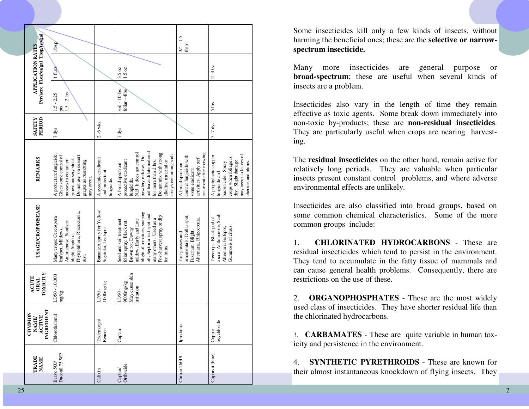|                     | TRADE<br><b>NAME</b> | <b>INGREDIENT</b><br>COMMON<br>ACTIVE<br>NAME | TOXICITY<br>ACUTE<br><b>ORAL</b>                   | <b>USAGE/CROP/DISEASE</b>                                                                                                                                                                                                              | <b>REMARKS</b>                                                                                                                                                                                                                              | PERIOD<br><b>SAFETY</b> |                                      | Per/acre Fl.oz/oz/gal Tbsp/tsp/gal<br><b>APPLICATION RATES</b> |                              |
|---------------------|----------------------|-----------------------------------------------|----------------------------------------------------|----------------------------------------------------------------------------------------------------------------------------------------------------------------------------------------------------------------------------------------|---------------------------------------------------------------------------------------------------------------------------------------------------------------------------------------------------------------------------------------------|-------------------------|--------------------------------------|----------------------------------------------------------------|------------------------------|
| Bravo 500/          | Daconil 75 WP        | Chlorothalomil                                | LD50 - 10,000<br>mg/kg                             | Phytophthora, Rhizoctonia,<br>Many crops: Cercospora<br>Anthracnose, Southern<br>leafspot, Mildews,<br>blight, Septoria<br>rust.                                                                                                       | A protectant fungicide.<br>Gives some control of<br>Do not use on dessert<br>grown nursery stock.<br>mosses in container<br>grapes as russetting<br>may occur.                                                                              | $7$ dys                 | $1.5 - 2$ lbs<br>$1.5 - 2.25$<br>pts | 1f1.0Z                                                         | 1tbsp/                       |
| Calixin             |                      | Tridemorph<br>Beacon                          | 1000mg/kg<br>LD50-                                 | Banana: A spray for Yellow<br>Sigatoka, Leafspot                                                                                                                                                                                       | A systemic eradicant<br>and protectant<br>fungicide.                                                                                                                                                                                        | $2 - 6$ wks             |                                      |                                                                |                              |
| Orthocide<br>Captan |                      | Captan                                        | May cause skin<br>9000mg/kg<br>irritation<br>LD50- | blight of tomatoes, snaping<br>off, Septoria leaf spot and<br>Post-harvest spray or dip<br>many others. Used as a<br>Seed and soil treatment,<br>mildew, Early and Late<br>foliar spray: Black rot,<br>Brown rot, Downy<br>for fruits. | not leave dilute material<br>N.B. It does not control<br>Do not mix with strong<br>sprays containing soils.<br>powdery mildew. Do<br>for more than 2 hrs.<br>alkaline material or<br>protective eradicant<br>A broad spectrum<br>fungicide. | 7 dys                   | $soil - 10$ $lbs$<br>foliar - 4lbs   | 3.5 oz<br>$1.5 \text{ oz}$                                     |                              |
|                     | Chipco 26019         | Iprodione                                     |                                                    | ornamentals: Dollar spot,<br>Alternaria, Rhizoctonia.<br>Fusarium, Blight,<br>Turf grasses and                                                                                                                                         | reatment after mowing.<br>contact fungicide with<br>activities. Apply turf<br>A broad spectrum<br>some eradicant                                                                                                                            |                         |                                      |                                                                | $3/4 - 1.5$<br>$_{\rm tbsp}$ |
|                     | Cupravit (blue)      | oxychloride<br>Copper                         |                                                    | cocoa, Anthracnose, Scab,<br>Treecrops: Black pod of<br>Gummosis of citrus.<br>Alternaria leafspot,                                                                                                                                    | may occur to leaves of<br>A prophylactic copper<br>crops when foliage is<br>dry. Slight damage<br>cherries and plums.<br>bactericide. Spray<br>fungicide and                                                                                | $5 - 7$ dys             | 5 <sub>l</sub>                       | $2 - 30z$                                                      |                              |

Some insecticides kill only a few kinds of insects, without harming the beneficial ones; these are the **selective or narrowspectrum insecticide.**

Many more insecticides are general purpose or **broad-spectrum**; these are useful when several kinds of insects are a problem.

Insecticides also vary in the length of time they remain effective as toxic agents. Some break down immediately into non-toxic by-products; these are **non-residual insecticides**. They are particularly useful when crops are nearing harvesting.

The **residual insecticides** on the other hand, remain active for relatively long periods. They are valuable when particular insects present constant control problems, and where adverse environmental effects are unlikely.

Insecticides are also classified into broad groups, based on some common chemical characteristics. Some of the more common groups include:

1. **CHLORINATED HYDROCARBONS** - These are residual insecticides which tend to persist in the environment. They tend to accumulate in the fatty tissue of mammals and can cause general health problems. Consequently, there are restrictions on the use of these.

2. **ORGANOPHOSPHATES** - These are the most widely used class of insecticides. They have shorter residual life than the chlorinated hydrocarbons.

3. **CARBAMATES** - These are quite variable in human toxicity and persistence in the environment.

4. **SYNTHETIC PYRETHROIDS** - These are known for their almost instantaneous knockdown of flying insects. They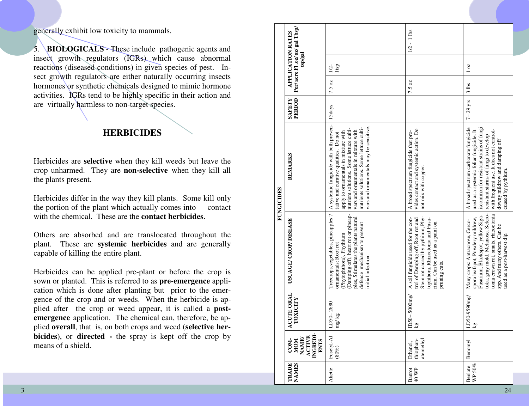generally exhibit low toxicity to mammals.

5. **BIOLOGICALS** - These include pathogenic agents and insect growth regulators (IGRs) which cause abnormal reactions (diseased conditions) in given species of pest. Insect growth regulators are either naturally occurring insects hormones or synthetic chemicals designed to mimic hormone activities. IGRs tend to be highly specific in their action and are virtually harmless to non-target species.

#### **HERBICIDES**

Herbicides are **selective** when they kill weeds but leave the crop unharmed. They are **non-selective** when they kill all the plants present.

Herbicides differ in the way they kill plants. Some kill only the portion of the plant which actually comes into contact with the chemical. These are the **contact herbicides**.

Others are absorbed and are translocated throughout the plant. These are **systemic herbicides** and are generally capable of killing the entire plant.

Herbicides can be applied pre-plant or before the crop is sown or planted. This is referred to as **pre-emergence** application which is done after planting but prior to the emergence of the crop and or weeds. When the herbicide is applied after the crop or weed appear, it is called a **postemergence** application. The chemical can, therefore, be applied **overall**, that is, on both crops and weed (**selective herbicides**), or **directed -** the spray is kept off the crop by means of a shield.

|                   | Per/acre Fl.oz/ oz/ gal Tbsp/<br><b>APPLICATION RATES</b>               |                                                                                                                                                                                                                                                                                                  | $1/2 - 1$ lbs                                                                                                                                                                                       |                                                                                                                                                                                                                                                                       |
|-------------------|-------------------------------------------------------------------------|--------------------------------------------------------------------------------------------------------------------------------------------------------------------------------------------------------------------------------------------------------------------------------------------------|-----------------------------------------------------------------------------------------------------------------------------------------------------------------------------------------------------|-----------------------------------------------------------------------------------------------------------------------------------------------------------------------------------------------------------------------------------------------------------------------|
|                   | $\tan$                                                                  | Itsp<br>$1/2$ -                                                                                                                                                                                                                                                                                  |                                                                                                                                                                                                     | 10z                                                                                                                                                                                                                                                                   |
|                   |                                                                         | 7.5 oz                                                                                                                                                                                                                                                                                           | 7.5 oz                                                                                                                                                                                              | $3l$ lbs                                                                                                                                                                                                                                                              |
|                   | PERIOD<br>SAFETY                                                        | 15days                                                                                                                                                                                                                                                                                           |                                                                                                                                                                                                     | $7-29$ yrs                                                                                                                                                                                                                                                            |
| <b>FUNGICIDES</b> | REMARKS                                                                 | A systemic fungicide with both preven-<br>vars and ornamentals may be sensitive.<br>nutrients solutions. Some lettuce culti-<br>nutrient solutions. Some lettuce culti-<br>vars and ornamentals in mixture with<br>apply to ornamentals in mixture with<br>tative and curative qualities. Do not | vides contact and systemic action. Do<br>A broad spectrum fungicide that pro-<br>not mix with copper.                                                                                               | A broad spectrum carbonate fungicide<br>iscommon for resistant strains of fungi<br>with frequent use. It does not control-<br>used as a systemic foliar fungicide. It<br>resistant starins of fungi to develop<br>downy mildrew and damping off<br>cuased by pythium. |
|                   | USUAGE/ CROP/DISEASE                                                    | Treecrops, vegetables, pineapples 7<br>(Damping off), heart rot or pineap-<br>ples, Stimulates the plants natural<br>defence mechanism to prevent<br>Phytophthora), Phythium<br>ornamentals: Root rot<br>initial infection.                                                                      | Stem rot caused by pythium, Phy-<br>A soil fungicide used for the con-<br>trol of Damping off, Root rot and<br>tophthora, Rhizoctonia and Fusa-<br>rium. Can be used as a paint on<br>pruning cuts. | toka, gray mold, Melanose, Sclero-<br>tonia crown rot, smuts, rhizoctonia<br>Fusarium, Blackspot, yellow Siga-<br>spora leafspot, Powdery mildrew,<br>Many crops: Antracnose, Cerco-<br>spp. And many others. Can be<br>used as a post-harvest dip.                   |
|                   | UTE ORAL<br><b>ALDIXO</b><br>$\mathbf{S}$                               | LD50-2680<br>$\log k$ g                                                                                                                                                                                                                                                                          | $ID50-5000mg$<br>$\overline{\text{kg}}$                                                                                                                                                             | LD50-9590mg<br>$\overline{\mathbf{g}}$                                                                                                                                                                                                                                |
|                   | INGREDI-<br><b>ACTIVE</b><br><b>MOM</b><br>NAME/<br><b>ENTS</b><br>COM- | Fosetyl-Al<br>(80%)                                                                                                                                                                                                                                                                              | atemethyl<br>thiophan-<br>Ethanol,                                                                                                                                                                  | Benomyl                                                                                                                                                                                                                                                               |
|                   | <b>NAMES</b><br><b>TRADE</b>                                            | Aliette                                                                                                                                                                                                                                                                                          | Banrot<br>40 WP                                                                                                                                                                                     | Benlate<br>WP 50%                                                                                                                                                                                                                                                     |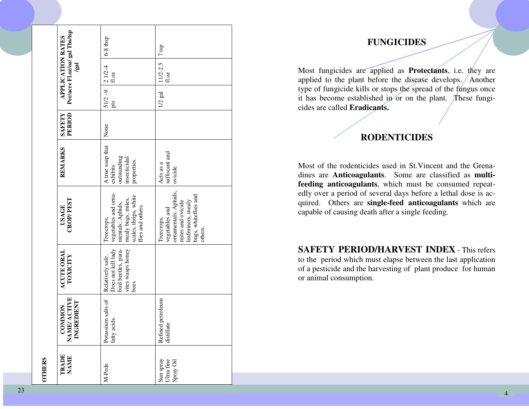| <b>OTHERS</b>                        |                                            |                                                                                            |                                                                                                                                   |                                                                            |                         |                               |                               |                                |
|--------------------------------------|--------------------------------------------|--------------------------------------------------------------------------------------------|-----------------------------------------------------------------------------------------------------------------------------------|----------------------------------------------------------------------------|-------------------------|-------------------------------|-------------------------------|--------------------------------|
| TRADE<br>NAME                        | COMMON<br>NAME/ ACTIVE<br>INGREDIENT       | <b>ACUTE ORAL</b><br>TOXICITY                                                              | <b>CROP/PEST</b><br>USAGE                                                                                                         | <b>REMARKS</b>                                                             | PERIOD<br><b>SAFETY</b> |                               | APPLICATION RATES<br>/gal     | Per/acre Fl.oz/oz/ gal Tbs/tsp |
| M-Pede                               | Potassium salts of<br>fatty acids.         | sites wasps honey<br>Does not kill lady<br>bird beetles, para-<br>Relatively safe.<br>bees | vegetables and orna-<br>scales, thrips, white<br>mealy bugs, mites,<br>mentals: Aphids,<br>flies and others.<br>Treecrops,        | A true soap that<br>outstanding<br>insecticidal<br>properties.<br>exhibits | None                    | $51/2 - 9$ 2 $1/2 - 4$<br>pts | $\pm0.02$                     | $6-8$ tbsp                     |
| Sun spray<br>Ultra fine<br>Spray Oil | Refined petroleum<br>$\circ$<br>distillate |                                                                                            | ornamentals: Aphids,<br>bugs, whiteflies and<br>leafminers, mealy<br>mites and ovicide<br>vegetables and<br>Treecrops,<br>others. | suffocant and<br>Acts as a<br>ovicide                                      |                         | $1/2$ gal                     | $11/2 - 2.5$   7 tsp<br>fl.oz |                                |

#### **FUNGICIDES**

Most fungicides are applied as **Protectants**, i.e. they are applied to the plant before the disease develops. Another type of fungicide kills or stops the spread of the fungus once it has become established in or on the plant. These fungicides are called **Eradicants.**

#### **RODENTICIDES**

Most of the rodenticides used in St.Vincent and the Grenadines are **Anticoagulants**. Some are classified as **multifeeding anticoagulants**, which must be consumed repeatedly over a period of several days before a lethal dose is acquired. Others are **single-feed anticoagulants** which are capable of causing death after a single feeding.

**SAFETY PERIOD/HARVEST INDEX** - This refers to the period which must elapse between the last application of a pesticide and the harvesting of plant produce for human or animal consumption.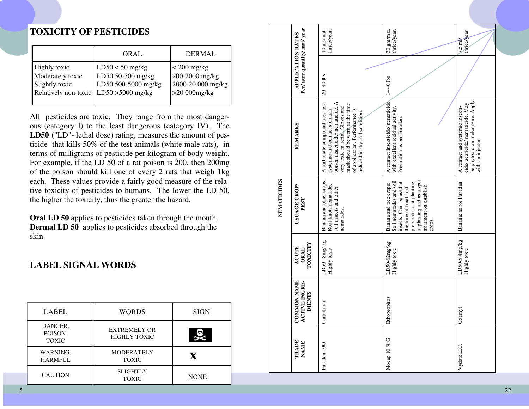### **TOXICITY OF PESTICIDES**

|                                                                                                     | ORAL                                                          | DERMAL                                                                 |
|-----------------------------------------------------------------------------------------------------|---------------------------------------------------------------|------------------------------------------------------------------------|
| <b>Highly</b> toxic<br>Moderately toxic<br>Slightly toxic<br>Relatively non-toxic LD50 > 5000 mg/kg | $LD50 < 50$ mg/kg<br>LD50 50-500 mg/kg<br>LD50 500-5000 mg/kg | $<$ 200 mg/kg<br>200-2000 mg/kg<br>2000-20 000 mg/kg<br>$>20000$ mg/kg |

All pesticides are toxic. They range from the most dangerous (category I) to the least dangerous (category IV). The **LD50** ("LD"- lethal dose) rating, measures the amount of pesticide that kills 50% of the test animals (white male rats), in terms of milligrams of pesticide per kilogram of body weight. For example, if the LD 50 of a rat poison is 200, then 200mg of the poison should kill one of every 2 rats that weigh 1kg each. These values provide a fairly good measure of the relative toxicity of pesticides to humans. The lower the LD 50, the higher the toxicity, thus the greater the hazard.

**Oral LD 50** applies to pesticides taken through the mouth. **Dermal LD 50** applies to pesticides absorbed through the skin.

### **LABEL SIGNAL WORDS**

| LABEL                              | <b>WORDS</b>                               | <b>SIGN</b> |
|------------------------------------|--------------------------------------------|-------------|
| DANGER,<br>POISON,<br><b>TOXIC</b> | <b>EXTREMELY OR</b><br><b>HIGHLY TOXIC</b> |             |
| WARNING,<br><b>HARMFUL</b>         | <b>MODERATELY</b><br><b>TOXIC</b>          | X           |
| <b>CAUTION</b>                     | <b>SLIGHTLY</b><br><b>TOXIC</b>            | <b>NONE</b> |

|             |                                                      | thrice/year.<br>40 ms/mat.                                                                                                                                                                                                                  | 30 gm/mat.<br>thrice/year.                                                                                                                                                                          | $7.5 \text{ mV}$<br>thrice/year                                                                                             |
|-------------|------------------------------------------------------|---------------------------------------------------------------------------------------------------------------------------------------------------------------------------------------------------------------------------------------------|-----------------------------------------------------------------------------------------------------------------------------------------------------------------------------------------------------|-----------------------------------------------------------------------------------------------------------------------------|
|             | Per/acre quantity/mat/year<br>APPLICATION RATES      | $20 - 40$ lbs                                                                                                                                                                                                                               | $1 - 40$ lbs                                                                                                                                                                                        |                                                                                                                             |
|             | <b>REMARKS</b>                                       | poison insecticide/nematicide. A<br>A carbonate compound used as a<br>mask should be worn at the time<br>very toxic material Gloves and<br>of application. Performance is<br>systemic and contact stomach<br>reduced in dry soil condition. | A contact insecticide/nematicide<br>with excellent residual activity.<br>Precaution as per Furadan.                                                                                                 | be phytoxic on melongene. Apply<br>cide/ acaricide/ nematicide. May<br>A contact and systemic insecti-<br>with an injector. |
| NEMATICIDES | USUAGE CROP/<br>PEST                                 | Banana and other crops:<br>Root-knots nematode,<br>soil insects and other<br>nematodes.                                                                                                                                                     | at planting and as a spot<br>Soil nematodes and soil<br>preparation, at planting<br>insects. Can be used at<br>Banana and tree crops:<br>treatment on establish<br>the time of final land<br>crops. | Banana: as for Furadan                                                                                                      |
|             | TOXICITY<br><b>ACUTE</b><br><b>ORAL</b>              | LD50- $8mg/kg$<br>Highly toxic                                                                                                                                                                                                              | LD50-62mg/kg<br>Highly toxic                                                                                                                                                                        | $LD50-5.4mg/kg$<br>Highly toxic                                                                                             |
|             | <b>COMMON NAME</b><br>ACTIVE INGRE-<br><b>DIENTS</b> | Carbofuran                                                                                                                                                                                                                                  | Ethoprophos                                                                                                                                                                                         | Oxanyl                                                                                                                      |
|             | <b>TRADE</b><br><b>NAME</b>                          | Furadan 10G                                                                                                                                                                                                                                 | Mocap 10 % G                                                                                                                                                                                        | Vydate E.C.                                                                                                                 |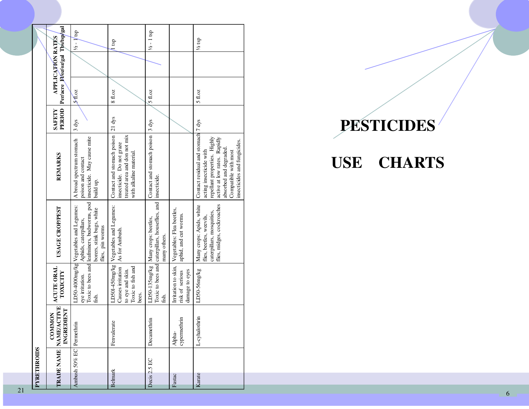|                    |                                                              | $\frac{1}{2} - \sqrt{\text{tsp}}$                                                                                                                               | l tsp                                                                                                                     | $1/2 - 1$ tsp                                                                                          |                                                          | $\frac{1}{2}$ tsp                                                                                                                                                                                                          |
|--------------------|--------------------------------------------------------------|-----------------------------------------------------------------------------------------------------------------------------------------------------------------|---------------------------------------------------------------------------------------------------------------------------|--------------------------------------------------------------------------------------------------------|----------------------------------------------------------|----------------------------------------------------------------------------------------------------------------------------------------------------------------------------------------------------------------------------|
|                    | Per/acre Floz/oz/gal Tbs/tsp/gal<br>APPLICATION RATES        |                                                                                                                                                                 |                                                                                                                           |                                                                                                        |                                                          |                                                                                                                                                                                                                            |
|                    |                                                              | $\mathcal{M}$ .02                                                                                                                                               | $8$ fl.oz                                                                                                                 | 5f.0z                                                                                                  |                                                          | 5f.0z                                                                                                                                                                                                                      |
|                    | PERIOD<br><b>SAFETY</b>                                      | 3 dys                                                                                                                                                           |                                                                                                                           | $ 3 \text{ dys} $                                                                                      |                                                          |                                                                                                                                                                                                                            |
|                    | <b>REMARKS</b>                                               | insecticide. May cause mite<br>A broad spectrum stomach<br>poison and contact<br>build up.                                                                      | Contact and stomach poison 21 dys<br>treated area and don not mix<br>insecticide. Do not graze<br>with alkaline material. | Contact and stomach poison                                                                             |                                                          | Contact residual and stomach <sup>7</sup> dys<br>repellant properties. Highly<br>active at low rates. Rapidly<br>insecticides and fungicides.<br>absorbed and degraded.<br>acting insecticide with<br>Compatible with most |
|                    | <b>USAGE CROPPEST</b>                                        | Toxic to bees and leafminers, budworms, pod<br>LD50-4000mg/kg Vegetables and Legumes:<br>borers, stink bugs, white<br>Aphids, caterpillars,<br>flies, pin worms | LD501-450mg/kg Vegetables and Legumes:<br>As for Ambush.                                                                  | Toxic to bees and caterpillars, houseflies, and   insecticide.<br>Many crops: beetles,<br>many others. | Vegetables: Flea beetles,<br>aphid, and cut worms.       | flies, midges, cockroaches<br>Many crops: Apids, white<br>caterpillars, mosquities,<br>flies, beetles, weevils,                                                                                                            |
|                    | ACUTE ORAL<br>TOXICITY                                       | eye irritation.<br>fish.                                                                                                                                        | Causes irritation<br>Toxic to fish and<br>to eye and skin.<br>bees.                                                       | $LD50-135mg/kg$<br>fish.                                                                               | Irritation to skin,<br>damage to eyes<br>risk of serious | LD50-56mg/kg                                                                                                                                                                                                               |
|                    | <b>TRADE NAME NAME/ACTIVE</b><br>INGREDIENT<br><b>COMMON</b> | Permethrin                                                                                                                                                      | Fenvalerate                                                                                                               | $\frac{1}{2}$<br>Decamet                                                                               | cypermethrin<br>Alpha-                                   | L-cyhalothrin                                                                                                                                                                                                              |
| <b>PYRETHROIDS</b> |                                                              | Ambush 50% EC                                                                                                                                                   | Belmark                                                                                                                   | Decis 2.5 EC                                                                                           | Fastac                                                   | Karate                                                                                                                                                                                                                     |

# **PESTICIDES**

# **USE CHARTS**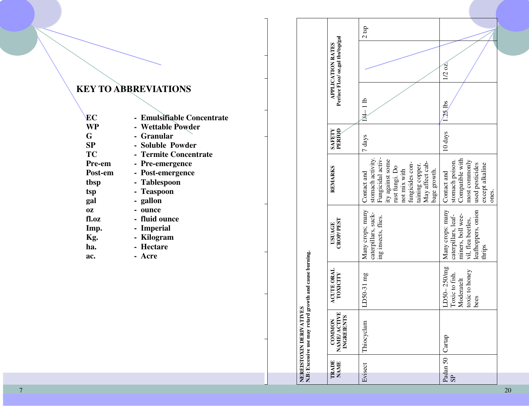## **KEY TO ABBREVIATIONS**

| EС        | - Emulsifiable Concentrate |
|-----------|----------------------------|
| WP        | - Wettable Powder          |
| G         | - Granular                 |
| SP        | - Soluble Powder           |
| <b>TC</b> | - Termite Concentrate      |
| Pre-em    | - Pre-emergence            |
| Post-em   | - Post-emergence           |
| tbsp      | - Tablespoon               |
| tsp       | - Teaspoon                 |
| gal       | - gallon                   |
| 0Z        | - ounce                    |
| fl.oz     | - fluid ounce              |
| Imp.      | - Imperial                 |
| Kg.       | - Kilogram                 |
| ha.       | - Hectare                  |
| ac.       | - Acre                     |

|           |                      | <b>LVES</b><br>NEREISTOXIN DERIVATI                   | N.B: Excessive use may retard growth and cause burning.                 |                                                                                                                    |                                                                                                                                                                                      |                  |             |                                                        |         |
|-----------|----------------------|-------------------------------------------------------|-------------------------------------------------------------------------|--------------------------------------------------------------------------------------------------------------------|--------------------------------------------------------------------------------------------------------------------------------------------------------------------------------------|------------------|-------------|--------------------------------------------------------|---------|
|           | TRADE<br><b>NAME</b> | E<br><b>INGREIENTS</b><br><b>COMMON</b><br>NAME/ACTIV | <b>ACUTE ORAL</b><br><b>TOXICITY</b>                                    | <b>CROP/PEST</b><br><b>USUAGE</b>                                                                                  | <b>REMARKS</b>                                                                                                                                                                       | PERIOD<br>SAFETY |             | Per/ace Fl.oz/ oz.gal tbs/tsp/gal<br>APPLICATION RATES |         |
| Evisect   |                      | Thiocyclam                                            | LD50-31 mg                                                              | Many crops; many<br>caterpillars, suck-<br>ing insects, flies.                                                     | Fungicidal activ-<br>stomach activity.<br>ity against some<br>May affect cab-<br>fungicides con-<br>taining copper.<br>rust fungi. Do<br>not mix with<br>bage growth.<br>Contact and | 7 days           | $14 - 11b$  |                                                        | $2$ tsp |
| <b>SP</b> | Padan 50             | Cartap                                                | $LD50-250/mg$<br>toxic to honey<br>Toxic to fish.<br>Moderatelt<br>bees | Many crops: many<br>leafhoppers, onion<br>miners, boll wee-<br>caterpillars, leaf-<br>vil, flea beetles,<br>thrips | Compatible with<br>most commonly<br>stomach poison.<br>used pesticides<br>except alkaline<br>Contact and<br>ones.                                                                    | 10 days          | <b>ALLS</b> | $1/2$ oz.                                              |         |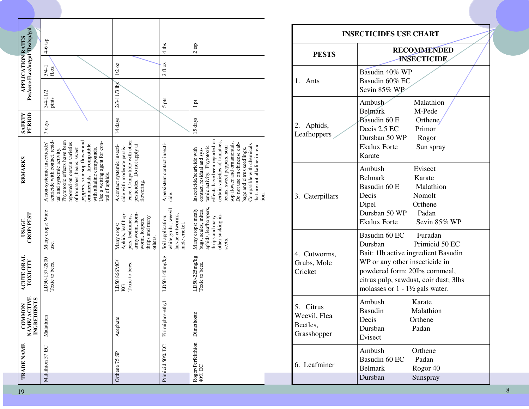|                                                                                  |                                                                                                                                                                                                                                                                                                                  |                                                                                                                       |                                                                               |                                                                                                                                                                                                                                                                                                                                                   |                                                         | <b>INSECTICIDES USE CHART</b>                                                                                                                                                         |
|----------------------------------------------------------------------------------|------------------------------------------------------------------------------------------------------------------------------------------------------------------------------------------------------------------------------------------------------------------------------------------------------------------|-----------------------------------------------------------------------------------------------------------------------|-------------------------------------------------------------------------------|---------------------------------------------------------------------------------------------------------------------------------------------------------------------------------------------------------------------------------------------------------------------------------------------------------------------------------------------------|---------------------------------------------------------|---------------------------------------------------------------------------------------------------------------------------------------------------------------------------------------|
|                                                                                  | $4-6$ tsp                                                                                                                                                                                                                                                                                                        |                                                                                                                       | $4$ tbs                                                                       | $2\,\mathrm{tsp}$                                                                                                                                                                                                                                                                                                                                 | <b>PESTS</b>                                            | <b>RECOMMENDED</b><br><b>INSECTICIDE</b>                                                                                                                                              |
| Per/acre Fl.oz/oz/gal Tbs/tsp/gal<br><b>APPLICATION RATES</b>                    | $\frac{3/4-1}{f! \text{ oz}}$                                                                                                                                                                                                                                                                                    | $1/2$ oz<br>2/3-11/3 lbs                                                                                              | $2 \, \mathrm{f}1.\mathrm{oz}$                                                |                                                                                                                                                                                                                                                                                                                                                   | 1. Ants                                                 | Basudin 40% WP<br>Basudin 60% EC<br>Sevin 85% WP                                                                                                                                      |
| <b>SAFETY</b><br>PERIOD                                                          | $3/4-11/2$<br>pints<br>7 days                                                                                                                                                                                                                                                                                    | 14 days                                                                                                               | 5 pts                                                                         | ā,<br>1<br>5 days                                                                                                                                                                                                                                                                                                                                 | 2. Aphids,<br>Leafhoppers                               | Malathion<br>Ambush<br>M-Pede<br><b>Belmark</b><br>Basudin 60 E<br>Orthene<br>Decis 2.5 EC<br>Primor<br>Dursban 50 WP<br>Rogor                                                        |
| REMARKS                                                                          | peppers, sour sop flower and<br>Phytotoxic effects have been<br>acaricide with contact, resid<br>Use a wetting agent for con-<br>reported on certain varieties<br>A non-systemic insecticide/<br>ornamentals. Incompatible<br>with alkaline compounds.<br>of tomatoes, beans, sweet<br>ual and systemic activity | tence. Compatible with other<br>Do not apply at<br>A contact systemic insecti-<br>cide with moderate persis-          | A persistent contact insecti-<br>cide.                                        | effects have been reported on<br>certain varieties of tomatoes,<br>sop flower and ornamentals<br>that are not alkaline in reac-<br>Do not use on chinesse cab-<br>Compatible with chemicals<br>beans, sweet peppers, sour<br>temic activity. Phytotoxic<br>Insecticide/acaricide with<br>bage and citrus seedlings.<br>contact, residual and sys- |                                                         | <b>Ekalux Forte</b><br>Sun spray<br>Karate<br>Ambush<br>Evisect<br><b>Belmark</b><br>Karate                                                                                           |
|                                                                                  | trol of aphids                                                                                                                                                                                                                                                                                                   | pesticides.<br>flowering.                                                                                             |                                                                               | tion.                                                                                                                                                                                                                                                                                                                                             | 3. Caterpillars                                         | Basudin 60 E<br>Malathion<br>Decis<br>Nomolt<br>Orthene<br>Dipel<br>Dursban 50 WP<br>Padan<br><b>Ekalux Forte</b><br>Sevin 85% V                                                      |
| $\frac{\text{USAGE}}{\text{CROP/PEST}}$                                          | Many crops: Wide<br>use.                                                                                                                                                                                                                                                                                         | Aphids, leaf hop<br>armyworm, horn<br>pers, leafminers,<br>thrips and many<br>worm, loopers,<br>Many crops<br>others. | white grubs, weevil-<br>larvae cutworms<br>Soil application;<br>mole cricket. | aphids, leafhoppers,<br>Many crops: mealy<br>bugs, scales, mites,<br>other sucking in-<br>thrips and many<br>sects.                                                                                                                                                                                                                               |                                                         | Basudin 60 EC<br>Furadan<br>Primicid 50 F<br>Dursban                                                                                                                                  |
| ACUTE ORAL<br>TOXICITY                                                           | LD50-137-2800<br>Toxic to bees.                                                                                                                                                                                                                                                                                  | ${\rm LDS0~866MG} \atop {\rm KG}$<br>Toxic to bees.                                                                   | $LD50-140$ mg/kg                                                              | $\frac{\text{LDS0-225mg/kg}}{\text{Toxic to bees.}}$                                                                                                                                                                                                                                                                                              | 4. Cutworms,<br>Grubs, Mole<br>Cricket                  | Bait: 1lb active ingredient Basu<br>WP or any other insecticide in<br>powdered form; 20lbs cornmeal<br>citrus pulp, sawdust, coir dust;<br>molasses or $1 - 1\frac{1}{2}$ gals water. |
| $\begin{array}{c} \text{COMMON} \\ \text{NAME} \\ \text{NCFEDIENTS} \end{array}$ | Malathion                                                                                                                                                                                                                                                                                                        | Acephate                                                                                                              | os-ethyl<br>Pirimipho                                                         | Dimethoate                                                                                                                                                                                                                                                                                                                                        | 5.<br>Citrus<br>Weevil, Flea<br>Beetles,<br>Grasshopper | Ambush<br>Karate<br><b>Basudin</b><br>Malathion<br>Decis<br>Orthene<br>Padan<br>Dursban<br>Evisect                                                                                    |
| <b>TRADE NAME</b>                                                                | E<br>Malathion 57                                                                                                                                                                                                                                                                                                | S <sub>P</sub><br>Orthene 75                                                                                          | $\rm E C$<br>Primicid 50%                                                     | Rogor/Perfekthion<br>$40\%$ EC                                                                                                                                                                                                                                                                                                                    | 6. Leafminer                                            | Ambush<br>Orthene<br>Basudin 60 EC<br>Padan<br>Rogor <sub>40</sub><br><b>Belmark</b><br>Dursban<br>Sunspray                                                                           |

| <b>INSECTICIDES USE CHART</b>                           |                                                                                                                                                                                                                                                      |  |  |
|---------------------------------------------------------|------------------------------------------------------------------------------------------------------------------------------------------------------------------------------------------------------------------------------------------------------|--|--|
| <b>PESTS</b>                                            | <b>RECOMMENDED</b><br><b>INSECTICIDE</b>                                                                                                                                                                                                             |  |  |
| 1. Ants                                                 | Basudin 40% WP<br>Basudin 60% EC<br>Sevin 85% WP                                                                                                                                                                                                     |  |  |
| 2. Aphids,<br>Leafhoppers                               | Malathion<br>Ambush<br>Belmark<br>M-Pede<br><b>Basudin 60 E</b><br>Orthene<br>Decis 2.5 EC<br>Primor<br>Dursban 50 WP<br>Rogor<br><b>Ekalux Forte</b><br>Sun spray<br>Karate                                                                         |  |  |
| 3. Caterpillars                                         | Evisect<br>Ambush<br>Belmark<br>Karate<br>Basudin 60 E<br>Malathion<br>Decis<br>Nomolt<br>Orthene<br>Dipel<br>Dursban 50 WP Padan<br>Ekalux Forte Sevin 85% WP                                                                                       |  |  |
| 4. Cutworms,<br>Grubs, Mole<br>Cricket                  | Basudin 60 EC Furadan<br>Dursban<br>Primicid 50 EC<br>Bait: 11b active ingredient Basudin<br>WP or any other insecticide in<br>powdered form; 20lbs cornmeal,<br>citrus pulp, sawdust, coir dust; 3lbs<br>molasses or $1 - 1\frac{1}{2}$ gals water. |  |  |
| 5.<br>Citrus<br>Weevil, Flea<br>Beetles,<br>Grasshopper | Ambush<br>Karate<br>Basudin<br>Malathion<br>Decis<br>Orthene<br>Dursban<br>Padan<br>Evisect                                                                                                                                                          |  |  |
| 6. Leafminer                                            | Ambush<br>Orthene<br>Basudin 60 EC<br>Padan<br><b>Belmark</b><br>Rogor <sub>40</sub><br>Dursban<br>Sunspray                                                                                                                                          |  |  |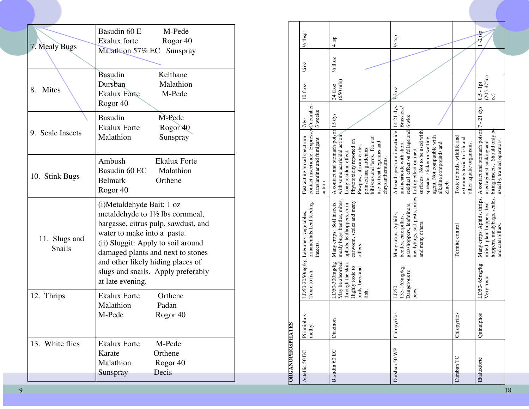| 7. Mealy Bugs                  | Basudin 60 E<br>M-Pede<br>Ekalux forte<br>Rogor 40<br>Malathion 57% EC Sunspray                                                                                                                                                                                                                                                           |
|--------------------------------|-------------------------------------------------------------------------------------------------------------------------------------------------------------------------------------------------------------------------------------------------------------------------------------------------------------------------------------------|
| <b>Mites</b><br>8.             | Basudin<br>Kelthane<br>Dursban<br>Malathion<br><b>Ekalux Forte</b><br>M-Pede<br>Rogor <sub>40</sub>                                                                                                                                                                                                                                       |
| 9. Scale Insects               | Basudin<br>M-Pede<br><b>Ekalux Forte</b><br>Rogor <sub>40</sub><br>Malathion<br>Sunspray                                                                                                                                                                                                                                                  |
| 10. Stink Bugs                 | Ambush<br><b>Ekalux Forte</b><br>Basudin 60 EC<br>Malathion<br>Belmark<br>Orthene<br>Rogor <sub>40</sub>                                                                                                                                                                                                                                  |
| 11. Slugs and<br><b>Snails</b> | (i) Metal dehyde Bait: 1 oz<br>metaldehyde to 1 <sup>1</sup> / <sub>2</sub> lbs cornmeal,<br>bargasse, citrus pulp, sawdust, and<br>water to make into a paste.<br>(ii) Sluggit: Apply to soil around<br>damaged plants and next to stones<br>and other likely hiding places of<br>slugs and snails. Apply preferably<br>at late evening. |
| 12. Thrips                     | <b>Ekalux Forte</b><br>Orthene<br>Malathion<br>Padan<br>M-Pede<br>Rogor 40                                                                                                                                                                                                                                                                |
| 13. White flies                | <b>Ekalux Forte</b><br>M-Pede<br>Orthene<br>Karate<br>Malathion<br>Rogor <sub>40</sub><br>Decis<br>Sunspray                                                                                                                                                                                                                               |

|                         | 1/2 tbsp                                                                                                      | $4$ tsp                                                                                                                                                                                                                                                       | $\frac{1}{2}$ tsp                                                                                                                                                                                                                             |                                                                                         | $-2$ tsp                                                                                                                            |
|-------------------------|---------------------------------------------------------------------------------------------------------------|---------------------------------------------------------------------------------------------------------------------------------------------------------------------------------------------------------------------------------------------------------------|-----------------------------------------------------------------------------------------------------------------------------------------------------------------------------------------------------------------------------------------------|-----------------------------------------------------------------------------------------|-------------------------------------------------------------------------------------------------------------------------------------|
|                         | 1/4 OZ                                                                                                        | $\frac{1}{2}$ fl.oz                                                                                                                                                                                                                                           |                                                                                                                                                                                                                                               |                                                                                         |                                                                                                                                     |
|                         | 10 fl.oz                                                                                                      | $(650 \text{ mls})$<br>24 fl.oz                                                                                                                                                                                                                               | $3.3 \text{ oz}$                                                                                                                                                                                                                              |                                                                                         | $(205-475cc$<br>$0.5 - 1pt$<br>$\widehat{\mathrm{c}}$                                                                               |
|                         | 3 weeks<br>7dys                                                                                               |                                                                                                                                                                                                                                                               | Brassicas/                                                                                                                                                                                                                                    |                                                                                         |                                                                                                                                     |
|                         | contact insecticide. Expresses Cucumber-<br>Fast acting broad spectrum<br>translaminar and fumigant<br>action | A contact and stomach poison 15 dys<br>with some acaricidal action.<br>hibiscus and ferns. Do not<br>Phytotoxicity reported on<br>use to treat begonias and<br>Pawpaw, african violet,<br>poinsettias, gardenias,<br>Long residual effect.<br>chrysanthemums. | A broad spectrum insecticide 14-21 dys.<br>residual effect on foliage and 6 wks<br>surfaces. Not to be used with<br>agent. Not compatible with<br>spreader sticker or wetting<br>and acaricide with short<br>alkaline compounds and<br>Zineb. | Toxic to birds, wildlife and<br>extremely toxic to fish and<br>other aquatic organisms. | A contact and stomach poison 7 - 21 dys<br>biting insects, Should only be<br>used by trained operators.<br>used agianst sucking and |
|                         | ornamentals:Leaf feeding<br>LD50-2050mg/kg Legumes, vegetables,<br>insects.                                   | mealy bugs, beetles, mites,<br>earworm, scales and many<br>Many crops: Soil insects,<br>aphids, leafhoppers, corn<br>others.                                                                                                                                  | mealybugs, soil pests, mites lasting effect on inert<br>grasshoppers, leafminers,<br>Many crops: Aphids,<br>beetles, caterpillars,<br>and many others.                                                                                        | Termite control                                                                         | Many crops: Aphids, thrips,<br>hoppers, mealybugs, scales,<br>mited, plant hoppers, leaf<br>and caterpillars.                       |
|                         | Toxic to fish.                                                                                                | May be absorbed<br>through the skin.<br>LD50-300mg/kg<br>Highly toxic to<br>birds, bees and<br>fish.                                                                                                                                                          | 135-163mg/kg<br>Dangerous to<br>LD50-<br>bees                                                                                                                                                                                                 |                                                                                         | LD50-65mg/kg<br>Very toxic                                                                                                          |
|                         | $OS-$<br>Pirimiph<br>methyl                                                                                   | Diazinon                                                                                                                                                                                                                                                      | Chlopyrifos                                                                                                                                                                                                                                   | Chlopyrifos                                                                             | Quinalphos                                                                                                                          |
| <b>ORGANOPHOSPHATES</b> | Actellic 50 EC                                                                                                | Basudin 60 EC                                                                                                                                                                                                                                                 | Dursban 50 WP                                                                                                                                                                                                                                 | Dursban TC                                                                              | Ekaluxforte                                                                                                                         |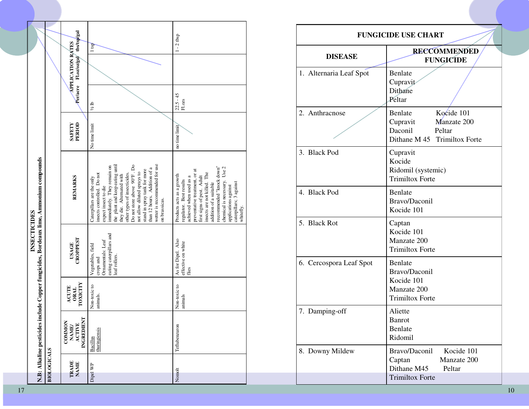|          |                             | <b>N.B: Alkaline pesticides</b>                              |                                         | INSECTICIDES                                                                                    | include Copper fungicides, Bordeaux lime, Ammonium compounds                                                                                                                                                                                                                                                                                                                                     |                  |                                                               |           |  |
|----------|-----------------------------|--------------------------------------------------------------|-----------------------------------------|-------------------------------------------------------------------------------------------------|--------------------------------------------------------------------------------------------------------------------------------------------------------------------------------------------------------------------------------------------------------------------------------------------------------------------------------------------------------------------------------------------------|------------------|---------------------------------------------------------------|-----------|--|
|          | <b>BIOLOGICALS</b>          |                                                              |                                         |                                                                                                 |                                                                                                                                                                                                                                                                                                                                                                                                  |                  |                                                               |           |  |
|          | <b>TRADE</b><br><b>NAME</b> | <b>INGREDIENT</b><br>COMMON<br><b>ACTIVE</b><br><b>NAME/</b> | TOXICITY<br><b>ACUTE</b><br><b>ORAL</b> | <b>CROPPEST</b><br><b>USAGE</b>                                                                 | <b>REMARKS</b>                                                                                                                                                                                                                                                                                                                                                                                   | PERIOD<br>SAFETY | Per/acre Fl.oz/oz/gal tbs/tsp/gal<br><b>APPLICATION RATES</b> |           |  |
| Dipel WP |                             | thuringiensis<br>Bacillus                                    | Non-toxic to<br>animals.                | eating caterpillars and<br>Ornamentals: Leaf<br>Vegetables, field<br>leaf rollers.<br>crops and | wetter is recommended for use<br>the plant and keep eating until<br>Å<br>immediately. They remain on<br>than 12 hours. Addition of a<br>stand in spray tank for more<br>not allow diluted sprays to<br>insects controlled. Do not<br>other types of insecticides.<br>Do not store above 90°F.<br>they die. Alternated with<br>Caterpillars are the only<br>expect insect to die<br>on brassicas. | No time limit    | $\frac{1}{2}$ lb                                              | l tsp     |  |
| Nomolt   |                             | Teflubenzuron                                                | Non-toxic to<br>animals                 | As for Dipel. Also<br>effective on white<br>flies                                               | recommended "knock down"<br>chemical is necessary. Use 2<br>preventative treatment, or at<br>insects are not killed. The<br>Products acts as a growth<br>first signs of pest. Adult<br>achieved when used as a<br>regulator. Best results<br>caterpillars; 3 against<br>addition of a suitable<br>applications against<br>whitefly.                                                              | no time limit    | $22.5 - 45$<br>${\rm Fl.} {\rm ozs}$                          | $-2$ tbsp |  |

|                         | <b>FUNGICIDE USE CHART</b>                                                                              |
|-------------------------|---------------------------------------------------------------------------------------------------------|
| <b>DISEASE</b>          | <b>RECCOMMENDED</b><br><b>FUNGICIDE</b>                                                                 |
| 1. Alternaria Leaf Spot | <b>Benlate</b><br>Cupravit<br>Dithane<br>Peltar                                                         |
| 2. Anthracnose          | Kocide 101<br>Benlate<br>Manzate 200<br>Cupravit<br>Daconil<br>Peltar<br>Dithane M 45 Trimiltox Forte   |
| 3. Black Pod            | Cupravit<br>Kocide<br>Ridomil (systemic)<br><b>Trimiltox Forte</b>                                      |
| 4. Black Pod            | Benlate<br>Bravo/Daconil<br>Kocide 101                                                                  |
| 5. Black Rot            | Captan<br>Kocide 101<br>Manzate 200<br><b>Trimiltox Forte</b>                                           |
| 6. Cercospora Leaf Spot | Benlate<br>Bravo/Daconil<br>Kocide 101<br>Manzate 200<br><b>Trimiltox Forte</b>                         |
| 7. Damping-off          | Aliette<br><b>Banrot</b><br>Benlate<br>Ridomil                                                          |
| 8. Downy Mildew         | Bravo/Daconil<br>Kocide 101<br>Manzate 200<br>Captan<br>Dithane M45<br>Peltar<br><b>Trimiltox Forte</b> |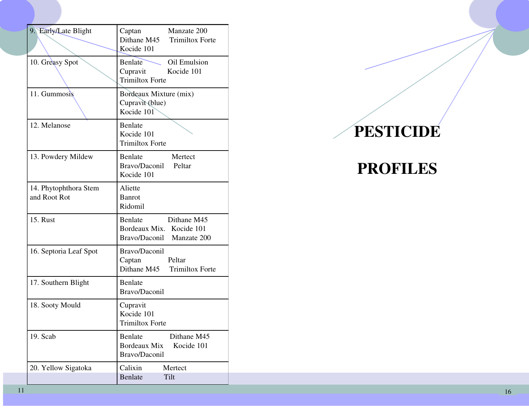| 9. Early/Late Blight                  | Captan Manzate 200<br>Dithane M45 Trimiltox Forte<br>Kocide 101                    |
|---------------------------------------|------------------------------------------------------------------------------------|
| 10. Greasy Spot                       | <b>Benlate</b><br>Oil Emulsion<br>Cupravit Kocide 101<br><b>Trimiltox Forte</b>    |
| 11. Gummosis                          | Bordeaux Mixture (mix)<br>Cupravit (blue)<br>Kocide 101                            |
| 12. Melanose                          | Benlate<br>Kocide 101<br><b>Trimiltox Forte</b>                                    |
| 13. Powdery Mildew                    | Benlate<br>Mertect<br>Bravo/Daconil Peltar<br>Kocide 101                           |
| 14. Phytophthora Stem<br>and Root Rot | Aliette<br><b>Banrot</b><br>Ridomil                                                |
| <b>15. Rust</b>                       | Benlate<br>Dithane M45<br>Bordeaux Mix. Kocide 101<br>Bravo/Daconil<br>Manzate 200 |
| 16. Septoria Leaf Spot                | Bravo/Daconil<br>Captan<br>Peltar<br>Dithane M45 Trimiltox Forte                   |
| 17. Southern Blight                   | Benlate<br>Bravo/Daconil                                                           |
| 18. Sooty Mould                       | Cupravit<br>Kocide 101<br><b>Trimiltox Forte</b>                                   |
| 19. Scab                              | Benlate<br>Dithane M45<br><b>Bordeaux Mix</b><br>Kocide 101<br>Bravo/Daconil       |
| 20. Yellow Sigatoka                   | Calixin<br>Mertect<br>Tilt<br><b>Benlate</b>                                       |

# **PESTICIDE**

## **PROFILES**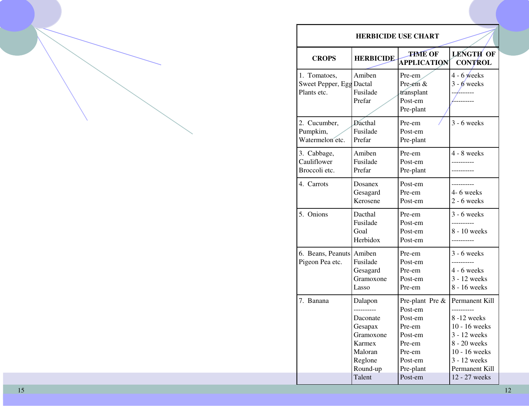| <b>HERBICIDE USE CHART</b>                              |                                                                                                   |                                                                                                                   |                                                                                                                                                   |  |  |
|---------------------------------------------------------|---------------------------------------------------------------------------------------------------|-------------------------------------------------------------------------------------------------------------------|---------------------------------------------------------------------------------------------------------------------------------------------------|--|--|
| <b>CROPS</b>                                            | <b>HERBICIDE</b>                                                                                  | <b>THME OF</b><br><b>APPLICATION</b>                                                                              | LENGTH OF<br><b>CONTROL</b>                                                                                                                       |  |  |
| 1. Tomatoes,<br>Sweet Pepper, Egg Dactal<br>Plants etc. | Amiben<br>Fusilade<br>Prefar                                                                      | Pre-em<br>Pre-em &<br>transplant<br>Post-em<br>Pre-plant                                                          | $4 - 6$ weeks<br>$3 - 6$ weeks                                                                                                                    |  |  |
| 2. Cucumber,<br>Pumpkim,<br>Watermelon etc.             | Dacthal<br>Fusilade<br>Prefar                                                                     | Pre-em<br>Post-em<br>Pre-plant                                                                                    | $3 - 6$ weeks                                                                                                                                     |  |  |
| 3. Cabbage,<br>Cauliflower<br>Broccoli etc.             | Amiben<br>Fusilade<br>Prefar                                                                      | Pre-em<br>Post-em<br>Pre-plant                                                                                    | $4 - 8$ weeks                                                                                                                                     |  |  |
| 4. Carrots                                              | Dosanex<br>Gesagard<br>Kerosene                                                                   | Post-em<br>Pre-em<br>Post-em                                                                                      | 4-6 weeks<br>$2 - 6$ weeks                                                                                                                        |  |  |
| 5. Onions                                               | Dacthal<br>Fusilade<br>Goal<br>Herbidox                                                           | Pre-em<br>Post-em<br>Post-em<br>Post-em                                                                           | $3 - 6$ weeks<br>8 - 10 weeks                                                                                                                     |  |  |
| 6. Beans, Peanuts<br>Pigeon Pea etc.                    | Amiben<br>Fusilade<br>Gesagard<br>Gramoxone<br>Lasso                                              | Pre-em<br>Post-em<br>Pre-em<br>Post-em<br>Pre-em                                                                  | $3 - 6$ weeks<br>$4 - 6$ weeks<br>3 - 12 weeks<br>8 - 16 weeks                                                                                    |  |  |
| 7. Banana                                               | Dalapon<br>Daconate<br>Gesapax<br>Gramoxone<br>Karmex<br>Maloran<br>Reglone<br>Round-up<br>Talent | Pre-plant Pre &<br>Post-em<br>Post-em<br>Pre-em<br>Post-em<br>Pre-em<br>Pre-em<br>Post-em<br>Pre-plant<br>Post-em | Permanent Kill<br>8-12 weeks<br>10 - 16 weeks<br>3 - 12 weeks<br>8 - 20 weeks<br>10 - 16 weeks<br>3 - 12 weeks<br>Permanent Kill<br>12 - 27 weeks |  |  |